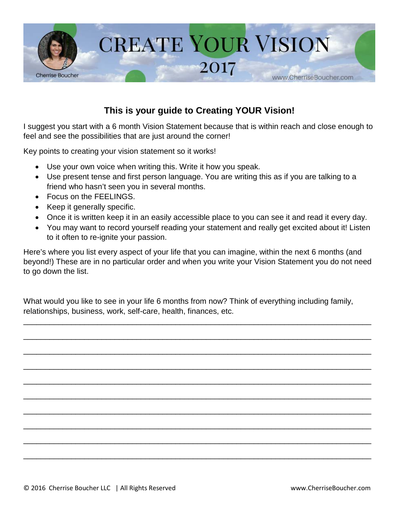

## **This is your guide to Creating YOUR Vision!**

I suggest you start with a 6 month Vision Statement because that is within reach and close enough to feel and see the possibilities that are just around the corner!

Key points to creating your vision statement so it works!

- Use your own voice when writing this. Write it how you speak.
- Use present tense and first person language. You are writing this as if you are talking to a friend who hasn't seen you in several months.
- Focus on the FEELINGS.
- Keep it generally specific.
- Once it is written keep it in an easily accessible place to you can see it and read it every day.
- You may want to record yourself reading your statement and really get excited about it! Listen to it often to re-ignite your passion.

Here's where you list every aspect of your life that you can imagine, within the next 6 months (and beyond!) These are in no particular order and when you write your Vision Statement you do not need to go down the list.

What would you like to see in your life 6 months from now? Think of everything including family, relationships, business, work, self-care, health, finances, etc.

\_\_\_\_\_\_\_\_\_\_\_\_\_\_\_\_\_\_\_\_\_\_\_\_\_\_\_\_\_\_\_\_\_\_\_\_\_\_\_\_\_\_\_\_\_\_\_\_\_\_\_\_\_\_\_\_\_\_\_\_\_\_\_\_\_\_\_\_\_\_\_\_\_\_\_\_\_\_\_\_

\_\_\_\_\_\_\_\_\_\_\_\_\_\_\_\_\_\_\_\_\_\_\_\_\_\_\_\_\_\_\_\_\_\_\_\_\_\_\_\_\_\_\_\_\_\_\_\_\_\_\_\_\_\_\_\_\_\_\_\_\_\_\_\_\_\_\_\_\_\_\_\_\_\_\_\_\_\_\_\_

\_\_\_\_\_\_\_\_\_\_\_\_\_\_\_\_\_\_\_\_\_\_\_\_\_\_\_\_\_\_\_\_\_\_\_\_\_\_\_\_\_\_\_\_\_\_\_\_\_\_\_\_\_\_\_\_\_\_\_\_\_\_\_\_\_\_\_\_\_\_\_\_\_\_\_\_\_\_\_\_

\_\_\_\_\_\_\_\_\_\_\_\_\_\_\_\_\_\_\_\_\_\_\_\_\_\_\_\_\_\_\_\_\_\_\_\_\_\_\_\_\_\_\_\_\_\_\_\_\_\_\_\_\_\_\_\_\_\_\_\_\_\_\_\_\_\_\_\_\_\_\_\_\_\_\_\_\_\_\_\_

\_\_\_\_\_\_\_\_\_\_\_\_\_\_\_\_\_\_\_\_\_\_\_\_\_\_\_\_\_\_\_\_\_\_\_\_\_\_\_\_\_\_\_\_\_\_\_\_\_\_\_\_\_\_\_\_\_\_\_\_\_\_\_\_\_\_\_\_\_\_\_\_\_\_\_\_\_\_\_\_

\_\_\_\_\_\_\_\_\_\_\_\_\_\_\_\_\_\_\_\_\_\_\_\_\_\_\_\_\_\_\_\_\_\_\_\_\_\_\_\_\_\_\_\_\_\_\_\_\_\_\_\_\_\_\_\_\_\_\_\_\_\_\_\_\_\_\_\_\_\_\_\_\_\_\_\_\_\_\_\_

\_\_\_\_\_\_\_\_\_\_\_\_\_\_\_\_\_\_\_\_\_\_\_\_\_\_\_\_\_\_\_\_\_\_\_\_\_\_\_\_\_\_\_\_\_\_\_\_\_\_\_\_\_\_\_\_\_\_\_\_\_\_\_\_\_\_\_\_\_\_\_\_\_\_\_\_\_\_\_\_

\_\_\_\_\_\_\_\_\_\_\_\_\_\_\_\_\_\_\_\_\_\_\_\_\_\_\_\_\_\_\_\_\_\_\_\_\_\_\_\_\_\_\_\_\_\_\_\_\_\_\_\_\_\_\_\_\_\_\_\_\_\_\_\_\_\_\_\_\_\_\_\_\_\_\_\_\_\_\_\_

\_\_\_\_\_\_\_\_\_\_\_\_\_\_\_\_\_\_\_\_\_\_\_\_\_\_\_\_\_\_\_\_\_\_\_\_\_\_\_\_\_\_\_\_\_\_\_\_\_\_\_\_\_\_\_\_\_\_\_\_\_\_\_\_\_\_\_\_\_\_\_\_\_\_\_\_\_\_\_\_

\_\_\_\_\_\_\_\_\_\_\_\_\_\_\_\_\_\_\_\_\_\_\_\_\_\_\_\_\_\_\_\_\_\_\_\_\_\_\_\_\_\_\_\_\_\_\_\_\_\_\_\_\_\_\_\_\_\_\_\_\_\_\_\_\_\_\_\_\_\_\_\_\_\_\_\_\_\_\_\_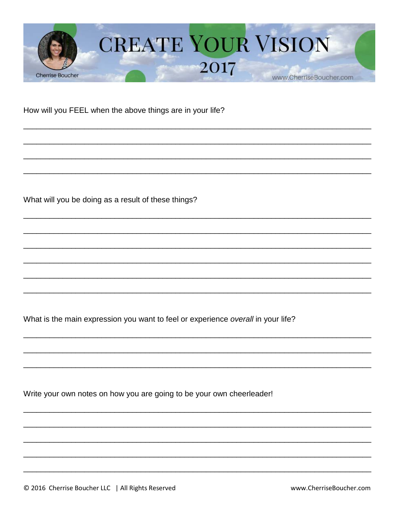

How will you FEEL when the above things are in your life?

What will you be doing as a result of these things?

What is the main expression you want to feel or experience overall in your life?

Write your own notes on how you are going to be your own cheerleader!